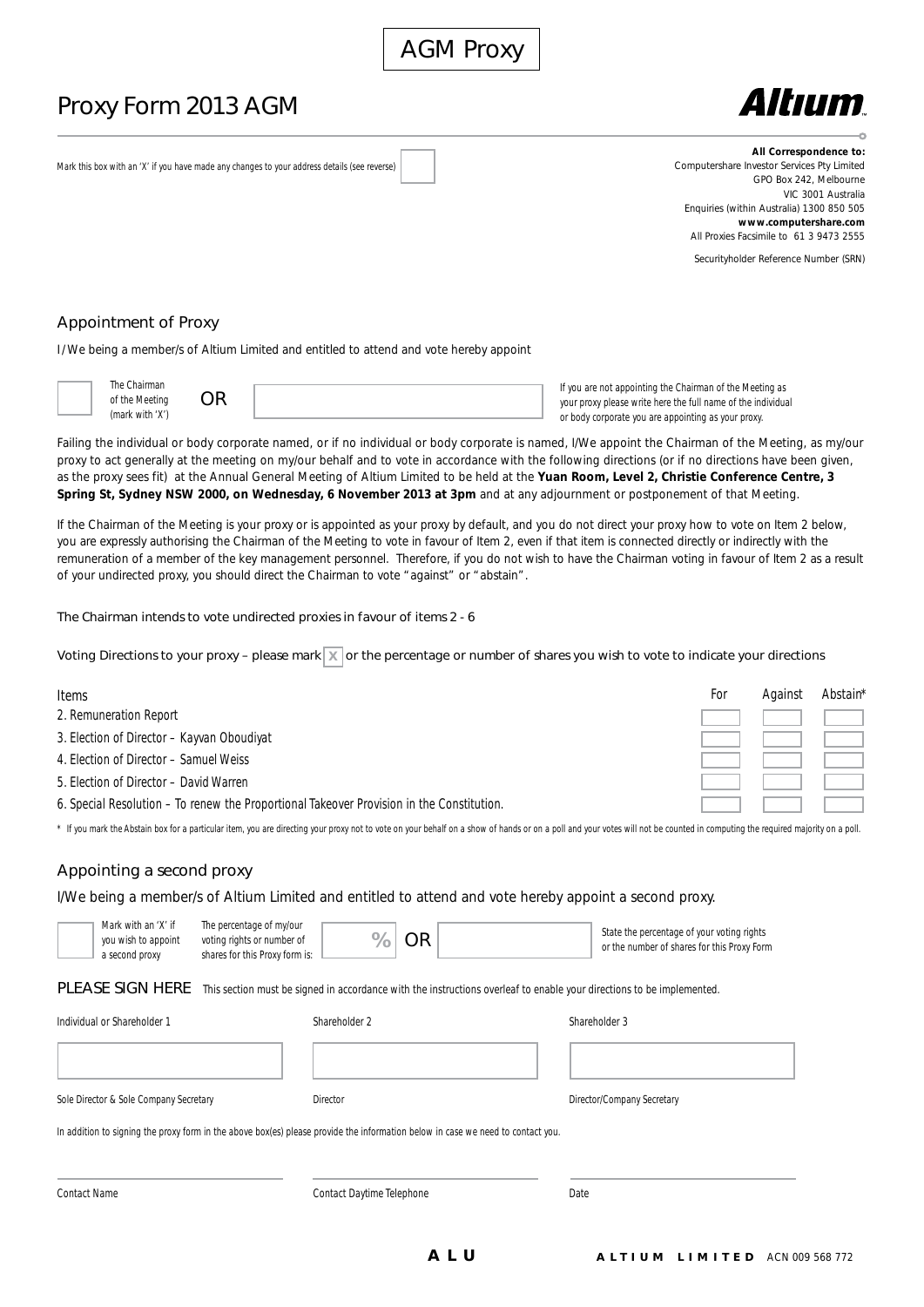# Proxy Form 2013 AGM



Mark this box with an 'X' if you have made any changes to your address details (see reverse)

**All Correspondence to:** Computershare Investor Services Pty Limited GPO Box 242, Melbourne VIC 3001 Australia Enquiries (within Australia) 1300 850 505 **www.computershare.com** All Proxies Facsimile to 61 3 9473 2555

Securityholder Reference Number (SRN)

# Appointment of Proxy

I/ We being a member/s of Altium Limited and entitled to attend and vote hereby appoint



| The Chairman    |    |
|-----------------|----|
| of the Meeting  | OR |
| (mark with 'X') |    |

If you are not appointing the Chairman of the Meeting as your proxy please write here the full name of the individual or body corporate you are appointing as your proxy.

Failing the individual or body corporate named, or if no individual or body corporate is named, I/We appoint the Chairman of the Meeting, as my/our proxy to act generally at the meeting on my/our behalf and to vote in accordance with the following directions (or if no directions have been given, as the proxy sees fit) at the Annual General Meeting of Altium Limited to be held at the **Yuan Room, Level 2, Christie Conference Centre, 3 Spring St, Sydney NSW 2000, on Wednesday, 6 November 2013 at 3pm** and at any adjournment or postponement of that Meeting.

If the Chairman of the Meeting is your proxy or is appointed as your proxy by default, and you do not direct your proxy how to vote on Item 2 below, you are expressly authorising the Chairman of the Meeting to vote in favour of Item 2, even if that item is connected directly or indirectly with the remuneration of a member of the key management personnel. Therefore, if you do not wish to have the Chairman voting in favour of Item 2 as a result of your undirected proxy, you should direct the Chairman to vote "against" or "abstain".

The Chairman intends to vote undirected proxies in favour of items 2 - 6

Voting Directions to your proxy – please mark  $\mathbb X$  or the percentage or number of shares you wish to vote to indicate your directions

| <b>Items</b>                                                                              | For | Against | Abstain* |
|-------------------------------------------------------------------------------------------|-----|---------|----------|
| 2. Remuneration Report                                                                    |     |         |          |
| 3. Election of Director - Kayvan Oboudiyat                                                |     |         |          |
| 4. Election of Director - Samuel Weiss                                                    |     |         |          |
| 5. Election of Director - David Warren                                                    |     |         |          |
| 6. Special Resolution - To renew the Proportional Takeover Provision in the Constitution. |     |         |          |

\* If you mark the Abstain box for a particular item, you are directing your proxy not to vote on your behalf on a show of hands or on a poll and your votes will not be counted in computing the required majority on a poll.

# Appointing a second proxy

I/We being a member/s of Altium Limited and entitled to attend and vote hereby appoint a second proxy.

| Mark with an 'X' if<br>you wish to appoint<br>a second proxy                                                                    | The percentage of my/our<br>voting rights or number of<br>shares for this Proxy form is: | <b>OR</b><br>%            | State the percentage of your voting rights<br>or the number of shares for this Proxy Form                             |
|---------------------------------------------------------------------------------------------------------------------------------|------------------------------------------------------------------------------------------|---------------------------|-----------------------------------------------------------------------------------------------------------------------|
| PLEASE SIGN HERE                                                                                                                |                                                                                          |                           | This section must be signed in accordance with the instructions overleaf to enable your directions to be implemented. |
| Individual or Shareholder 1                                                                                                     |                                                                                          | Shareholder 2             | Shareholder 3                                                                                                         |
|                                                                                                                                 |                                                                                          |                           |                                                                                                                       |
| Sole Director & Sole Company Secretary                                                                                          |                                                                                          | Director                  | Director/Company Secretary                                                                                            |
| In addition to signing the proxy form in the above box(es) please provide the information below in case we need to contact you. |                                                                                          |                           |                                                                                                                       |
| <b>Contact Name</b>                                                                                                             |                                                                                          | Contact Daytime Telephone | Date                                                                                                                  |